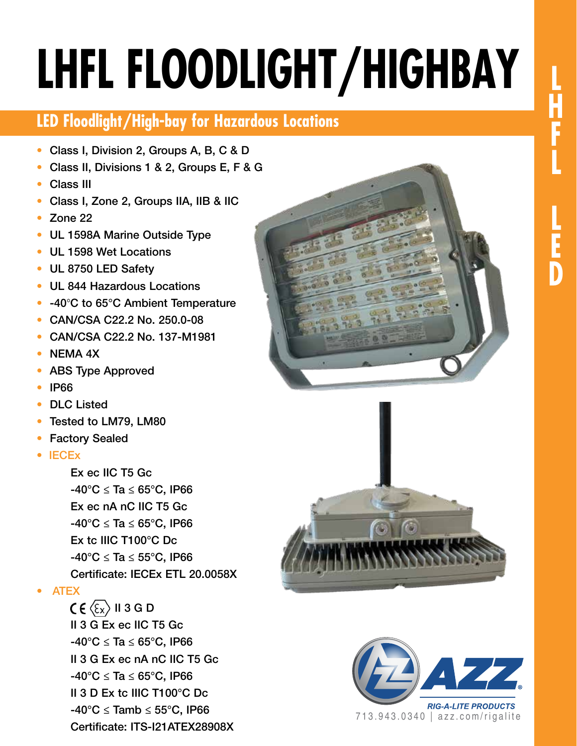# **LHFL FLOODLIGHT/HIGHBAY**

## **LED Floodlight/High-bay for Hazardous Locations**

- Class I, Division 2, Groups A, B, C & D
- Class II, Divisions 1 & 2, Groups E, F & G
- Class III
- Class I, Zone 2, Groups IIA, IIB & IIC
- Zone 22
- UL 1598A Marine Outside Type
- UL 1598 Wet Locations
- UL 8750 LED Safety
- UL 844 Hazardous Locations
- -40°C to 65°C Ambient Temperature
- CAN/CSA C22.2 No. 250.0-08
- CAN/CSA C22.2 No. 137-M1981
- NEMA 4X
- ABS Type Approved
- IP66
- DLC Listed
- Tested to LM79, LM80
- **Factory Sealed**
- IECEx

 Ex ec IIC T5 Gc  $-40^{\circ}$ C  $\leq$  Ta  $\leq$  65°C, IP66 Ex ec nA nC IIC T5 Gc  $-40^{\circ}$ C  $\leq$  Ta  $\leq$  65°C, IP66 Ex tc IIIC T100°C Dc  $-40^{\circ}$ C  $\leq$  Ta  $\leq$  55°C, IP66 Certificate: IECEx ETL 20.0058X

#### • ATEX

 $C \in \langle \epsilon_{x} \rangle$  II 3 G D II 3 G Ex ec IIC T5 Gc  $-40^{\circ}$ C  $\leq$  Ta  $\leq$  65°C, IP66 II 3 G Ex ec nA nC IIC T5 Gc  $-40^{\circ}$ C  $\leq$  Ta  $\leq$  65°C, IP66 II 3 D Ex tc IIIC T100°C Dc  $-40^{\circ}$ C  $\leq$  Tamb  $\leq$  55°C, IP66 Certificate: ITS-I21ATEX28908X





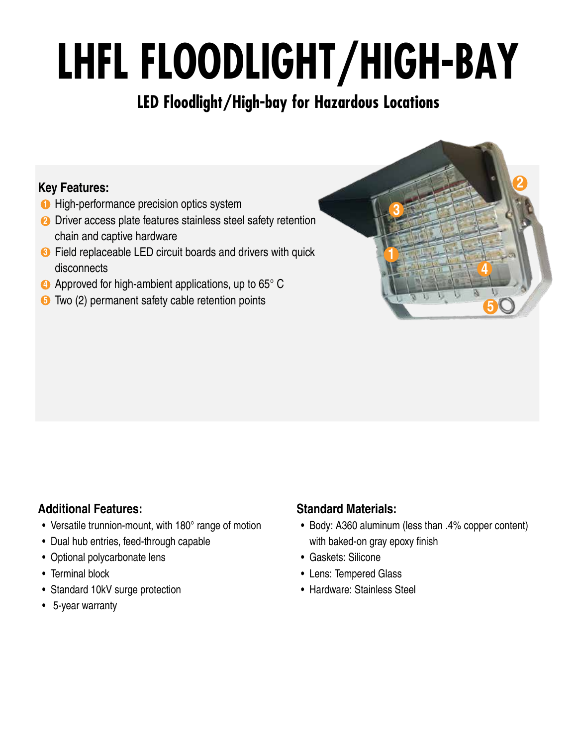# **LHFL FLOODLIGHT/HIGH-BAY**

## **LED Floodlight/High-bay for Hazardous Locations**

#### **Key Features:**

- **1** High-performance precision optics system
- **2** Driver access plate features stainless steel safety retention chain and captive hardware
- **3** Field replaceable LED circuit boards and drivers with quick disconnects
- **4** Approved for high-ambient applications, up to 65° C
- **5** Two (2) permanent safety cable retention points

#### **Additional Features:**

- Versatile trunnion-mount, with 180° range of motion
- Dual hub entries, feed-through capable
- Optional polycarbonate lens
- Terminal block
- Standard 10kV surge protection
- 5-year warranty

#### **Standard Materials:**

• Body: A360 aluminum (less than .4% copper content) with baked-on gray epoxy finish

**1**

**3**

**2**

**4**

**5**

- Gaskets: Silicone
- Lens: Tempered Glass
- Hardware: Stainless Steel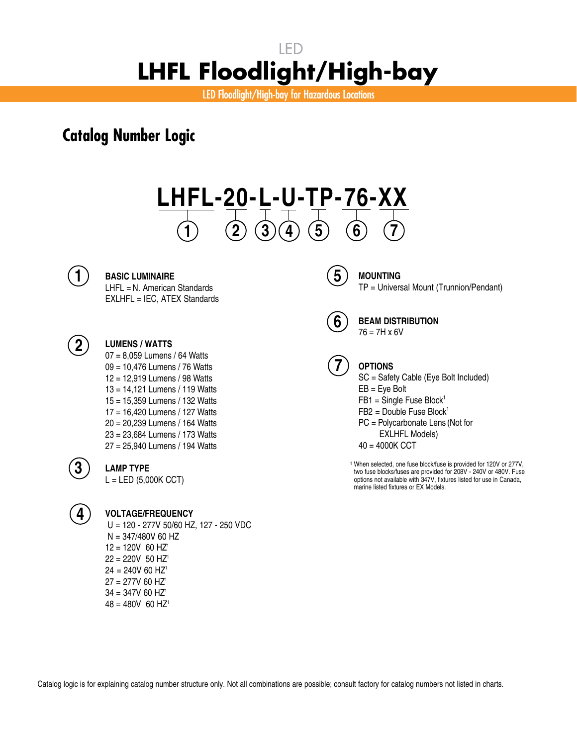LED Floodlight/High-bay for Hazardous Locations

### **Catalog Number Logic**

# **LHFL-20-L-U-TP-76-XX 1 2 3 4 5 6 7**



#### **BASIC LUMINAIRE**

LHFL = N. American Standards EXLHFL = IEC, ATEX Standards

#### **LUMENS / WATTS**

07 = 8,059 Lumens / 64 Watts 09 = 10,476 Lumens / 76 Watts 12 = 12,919 Lumens / 98 Watts 13 = 14,121 Lumens / 119 Watts 15 = 15,359 Lumens / 132 Watts 17 = 16,420 Lumens / 127 Watts 20 = 20,239 Lumens / 164 Watts 23 = 23,684 Lumens / 173 Watts 27 = 25,940 Lumens / 194 Watts



#### **LAMP TYPE**

 $L = LED (5,000K CCT)$ 



#### **VOLTAGE/FREQUENCY**

 U = 120 - 277V 50/60 HZ, 127 - 250 VDC N = 347/480V 60 HZ  $12 = 120V$  60 HZ<sup>1</sup>  $22 = 220V$  50 HZ<sup>1</sup>  $24 = 240V$  60 HZ<sup>1</sup>  $27 = 277V$  60 HZ<sup>1</sup>  $34 = 347V$  60 HZ<sup>1</sup>  $48 = 480V$  60 HZ<sup>1</sup>



#### **MOUNTING** TP = Universal Mount (Trunnion/Pendant)

**6**

**BEAM DISTRIBUTION**  $76 = 7H \times 6V$ 



#### **OPTIONS**

SC = Safety Cable (Eye Bolt Included) EB = Eye Bolt

- $FB1 =$  Single Fuse Block<sup>1</sup>
- $FB2 = Double$  Fuse Block<sup>1</sup>

PC = Polycarbonate Lens (Not for

EXLHFL Models)

40 = 4000K CCT

 1 When selected, one fuse block/fuse is provided for 120V or 277V, when selected, one fuse block/fuse is provided for 120V or 277V,<br>two fuse blocks/fuses are provided for 208V - 240V or 480V. Fuse options not available with 347V, fixtures listed for use in Canada, marine listed fixtures or EX Models.

Catalog logic is for explaining catalog number structure only. Not all combinations are possible; consult factory for catalog numbers not listed in charts.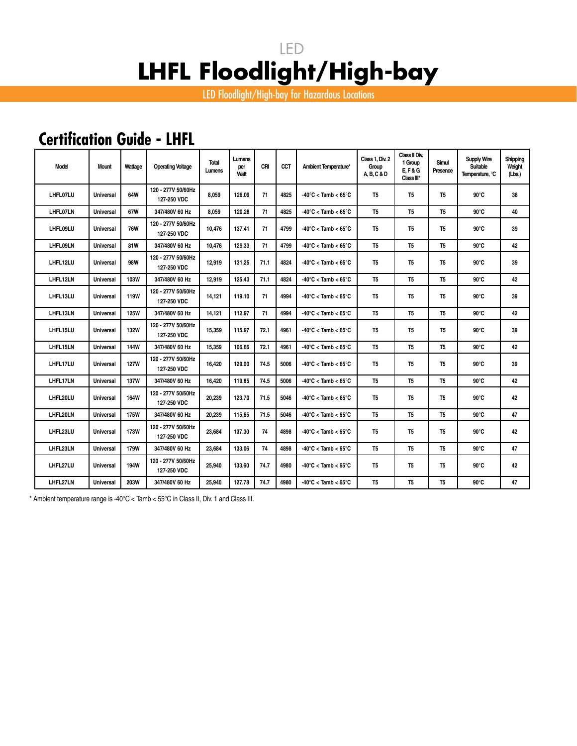LED Floodlight/High-bay for Hazardous Locations

## **Certification Guide - LHFL**

| Model    | Mount            | Wattage     | <b>Operating Voltage</b>          | <b>Total</b><br>Lumens | Lumens<br>per<br>Watt | CRI  | CCT  | Ambient Temperature*                     | Class 1, Div. 2<br>Group<br>A, B, C & D | Class II Div.<br>1 Group<br><b>E.F&amp;G</b><br>Class III* | Simul<br>Presence | <b>Supply Wire</b><br><b>Suitable</b><br>Temperature, °C | Shipping<br>Weight<br>(Lbs.) |
|----------|------------------|-------------|-----------------------------------|------------------------|-----------------------|------|------|------------------------------------------|-----------------------------------------|------------------------------------------------------------|-------------------|----------------------------------------------------------|------------------------------|
| LHFL07LU | <b>Universal</b> | 64W         | 120 - 277V 50/60Hz<br>127-250 VDC | 8.059                  | 126.09                | 71   | 4825 | $-40^{\circ}$ C < Tamb < 65 $^{\circ}$ C | T <sub>5</sub>                          | T <sub>5</sub>                                             | T <sub>5</sub>    | $90^{\circ}$ C                                           | 38                           |
| LHFL07LN | <b>Universal</b> | 67W         | 347/480V 60 Hz                    | 8.059                  | 120.28                | 71   | 4825 | $-40^{\circ}$ C < Tamb < 65 $^{\circ}$ C | T <sub>5</sub>                          | T <sub>5</sub>                                             | T <sub>5</sub>    | $90^{\circ}$ C                                           | 40                           |
| LHFL09LU | <b>Universal</b> | <b>76W</b>  | 120 - 277V 50/60Hz<br>127-250 VDC | 10,476                 | 137.41                | 71   | 4799 | $-40^{\circ}$ C < Tamb < 65 $^{\circ}$ C | T <sub>5</sub>                          | T <sub>5</sub>                                             | T <sub>5</sub>    | $90^{\circ}$ C                                           | 39                           |
| LHFL09LN | Universal        | 81W         | 347/480V 60 Hz                    | 10,476                 | 129.33                | 71   | 4799 | $-40^{\circ}$ C < Tamb < 65 $^{\circ}$ C | T <sub>5</sub>                          | T <sub>5</sub>                                             | T <sub>5</sub>    | $90^{\circ}$ C                                           | 42                           |
| LHFL12LU | <b>Universal</b> | <b>98W</b>  | 120 - 277V 50/60Hz<br>127-250 VDC | 12,919                 | 131.25                | 71.1 | 4824 | $-40^{\circ}$ C < Tamb < 65 $^{\circ}$ C | T <sub>5</sub>                          | T <sub>5</sub>                                             | T <sub>5</sub>    | $90^{\circ}$ C                                           | 39                           |
| LHFL12LN | <b>Universal</b> | 103W        | 347/480V 60 Hz                    | 12,919                 | 125.43                | 71.1 | 4824 | $-40^{\circ}$ C < Tamb < 65 $^{\circ}$ C | T <sub>5</sub>                          | T <sub>5</sub>                                             | T <sub>5</sub>    | $90^{\circ}$ C                                           | 42                           |
| LHFL13LU | <b>Universal</b> | <b>119W</b> | 120 - 277V 50/60Hz<br>127-250 VDC | 14,121                 | 119.10                | 71   | 4994 | $-40^{\circ}$ C < Tamb < 65 $^{\circ}$ C | T <sub>5</sub>                          | T <sub>5</sub>                                             | T <sub>5</sub>    | $90^{\circ}$ C                                           | 39                           |
| LHFL13LN | Universal        | <b>125W</b> | 347/480V 60 Hz                    | 14,121                 | 112.97                | 71   | 4994 | $-40^{\circ}$ C < Tamb < 65 $^{\circ}$ C | T <sub>5</sub>                          | T <sub>5</sub>                                             | T <sub>5</sub>    | $90^{\circ}$ C                                           | 42                           |
| LHFL15LU | <b>Universal</b> | <b>132W</b> | 120 - 277V 50/60Hz<br>127-250 VDC | 15,359                 | 115.97                | 72.1 | 4961 | $-40^{\circ}$ C < Tamb < 65 $^{\circ}$ C | T <sub>5</sub>                          | T5                                                         | T <sub>5</sub>    | $90^{\circ}$ C                                           | 39                           |
| LHFL15LN | Universal        | 144W        | 347/480V 60 Hz                    | 15,359                 | 106.66                | 72.1 | 4961 | $-40^{\circ}$ C < Tamb < 65 $^{\circ}$ C | T <sub>5</sub>                          | T <sub>5</sub>                                             | T <sub>5</sub>    | $90^{\circ}$ C                                           | 42                           |
| LHFL17LU | <b>Universal</b> | <b>127W</b> | 120 - 277V 50/60Hz<br>127-250 VDC | 16,420                 | 129.00                | 74.5 | 5006 | $-40^{\circ}$ C < Tamb < 65 $^{\circ}$ C | T5                                      | T5                                                         | T <sub>5</sub>    | $90^{\circ}$ C                                           | 39                           |
| LHFL17LN | <b>Universal</b> | <b>137W</b> | 347/480V 60 Hz                    | 16.420                 | 119.85                | 74.5 | 5006 | $-40^{\circ}$ C < Tamb < 65 $^{\circ}$ C | T <sub>5</sub>                          | T <sub>5</sub>                                             | T <sub>5</sub>    | $90^{\circ}$ C                                           | 42                           |
| LHFL20LU | Universal        | 164W        | 120 - 277V 50/60Hz<br>127-250 VDC | 20,239                 | 123.70                | 71.5 | 5046 | $-40^{\circ}$ C < Tamb < 65 $^{\circ}$ C | T <sub>5</sub>                          | T5                                                         | T <sub>5</sub>    | $90^{\circ}$ C                                           | 42                           |
| LHFL20LN | Universal        | <b>175W</b> | 347/480V 60 Hz                    | 20,239                 | 115.65                | 71.5 | 5046 | $-40^{\circ}$ C < Tamb < 65 $^{\circ}$ C | T <sub>5</sub>                          | T <sub>5</sub>                                             | T <sub>5</sub>    | $90^{\circ}$ C                                           | 47                           |
| LHFL23LU | <b>Universal</b> | <b>173W</b> | 120 - 277V 50/60Hz<br>127-250 VDC | 23,684                 | 137.30                | 74   | 4898 | $-40^{\circ}$ C < Tamb < 65 $^{\circ}$ C | T <sub>5</sub>                          | T <sub>5</sub>                                             | T <sub>5</sub>    | $90^{\circ}$ C                                           | 42                           |
| LHFL23LN | <b>Universal</b> | 179W        | 347/480V 60 Hz                    | 23,684                 | 133.06                | 74   | 4898 | $-40^{\circ}$ C < Tamb < 65 $^{\circ}$ C | T <sub>5</sub>                          | T <sub>5</sub>                                             | T <sub>5</sub>    | $90^{\circ}$ C                                           | 47                           |
| LHFL27LU | <b>Universal</b> | 194W        | 120 - 277V 50/60Hz<br>127-250 VDC | 25,940                 | 133.60                | 74.7 | 4980 | $-40^{\circ}$ C < Tamb < 65 $^{\circ}$ C | T <sub>5</sub>                          | T <sub>5</sub>                                             | T <sub>5</sub>    | $90^{\circ}$ C                                           | 42                           |
| LHFL27LN | Universal        | <b>203W</b> | 347/480V 60 Hz                    | 25.940                 | 127.78                | 74.7 | 4980 | $-40^{\circ}$ C < Tamb < $65^{\circ}$ C  | T <sub>5</sub>                          | T <sub>5</sub>                                             | T <sub>5</sub>    | $90^{\circ}$ C                                           | 47                           |

\* Ambient temperature range is -40°C < Tamb < 55°C in Class II, Div. 1 and Class III.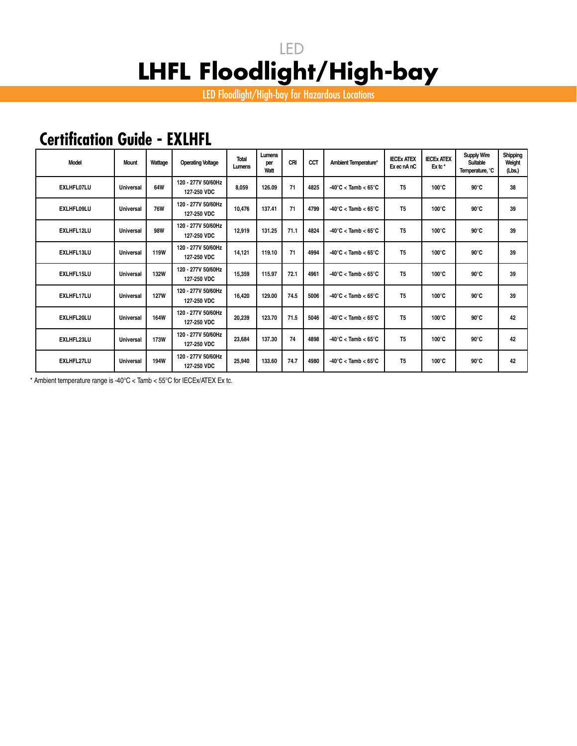LED Floodlight/High-bay for Hazardous Locations

## **Certification Guide - EXLHFL**

| <b>Model</b>      | <b>Mount</b>     | Wattage     | <b>Operating Voltage</b>          | <b>Total</b><br>Lumens | Lumens<br>per<br>Watt | CRI  | CCT  | Ambient Temperature*                     | <b>IECEX ATEX</b><br>Exec nAnC | <b>IECEX ATEX</b><br>Ex tc* | <b>Supply Wire</b><br>Suitable<br>Temperature, °C | Shipping<br>Weight<br>(Lbs.) |
|-------------------|------------------|-------------|-----------------------------------|------------------------|-----------------------|------|------|------------------------------------------|--------------------------------|-----------------------------|---------------------------------------------------|------------------------------|
| <b>EXLHFL07LU</b> | Universal        | 64W         | 120 - 277V 50/60Hz<br>127-250 VDC | 8.059                  | 126.09                | 71   | 4825 | $-40^{\circ}$ C < Tamb < 65 $^{\circ}$ C | T <sub>5</sub>                 | $100^{\circ}$ C             | $90^{\circ}$ C                                    | 38                           |
| <b>EXLHFL09LU</b> | <b>Universal</b> | <b>76W</b>  | 120 - 277V 50/60Hz<br>127-250 VDC | 10.476                 | 137.41                | 71   | 4799 | $-40^{\circ}$ C < Tamb < 65 $^{\circ}$ C | T <sub>5</sub>                 | $100^{\circ}$ C             | $90^{\circ}$ C                                    | 39                           |
| EXLHFL12LU        | Universal        | 98W         | 120 - 277V 50/60Hz<br>127-250 VDC | 12,919                 | 131.25                | 71.1 | 4824 | $-40^{\circ}$ C < Tamb < 65 $^{\circ}$ C | T <sub>5</sub>                 | $100^{\circ}$ C             | $90^{\circ}$ C                                    | 39                           |
| EXLHFL13LU        | <b>Universal</b> | <b>119W</b> | 120 - 277V 50/60Hz<br>127-250 VDC | 14.121                 | 119.10                | 71   | 4994 | $-40^{\circ}$ C < Tamb < 65 $^{\circ}$ C | T <sub>5</sub>                 | $100^{\circ}$ C             | $90^{\circ}$ C                                    | 39                           |
| EXLHFL15LU        | <b>Universal</b> | <b>132W</b> | 120 - 277V 50/60Hz<br>127-250 VDC | 15,359                 | 115.97                | 72.1 | 4961 | $-40^{\circ}$ C < Tamb < 65 $^{\circ}$ C | T <sub>5</sub>                 | $100^{\circ}$ C             | $90^{\circ}$ C                                    | 39                           |
| <b>EXLHFL17LU</b> | <b>Universal</b> | <b>127W</b> | 120 - 277V 50/60Hz<br>127-250 VDC | 16.420                 | 129.00                | 74.5 | 5006 | $-40^{\circ}$ C < Tamb < 65 $^{\circ}$ C | T <sub>5</sub>                 | $100^{\circ}$ C             | $90^{\circ}$ C                                    | 39                           |
| EXLHFL20LU        | <b>Universal</b> | <b>164W</b> | 120 - 277V 50/60Hz<br>127-250 VDC | 20.239                 | 123.70                | 71.5 | 5046 | $-40^{\circ}$ C < Tamb < 65 $^{\circ}$ C | T <sub>5</sub>                 | $100^{\circ}$ C             | $90^{\circ}$ C                                    | 42                           |
| EXLHFL23LU        | <b>Universal</b> | <b>173W</b> | 120 - 277V 50/60Hz<br>127-250 VDC | 23,684                 | 137.30                | 74   | 4898 | $-40^{\circ}$ C < Tamb < 65 $^{\circ}$ C | T <sub>5</sub>                 | $100^{\circ}$ C             | $90^{\circ}$ C                                    | 42                           |
| EXLHFL27LU        | Universal        | 194W        | 120 - 277V 50/60Hz<br>127-250 VDC | 25,940                 | 133.60                | 74.7 | 4980 | $-40^{\circ}$ C < Tamb < 65 $^{\circ}$ C | T <sub>5</sub>                 | $100^{\circ}$ C             | $90^{\circ}$ C                                    | 42                           |

\* Ambient temperature range is -40°C < Tamb < 55°C for IECEx/ATEX Ex tc.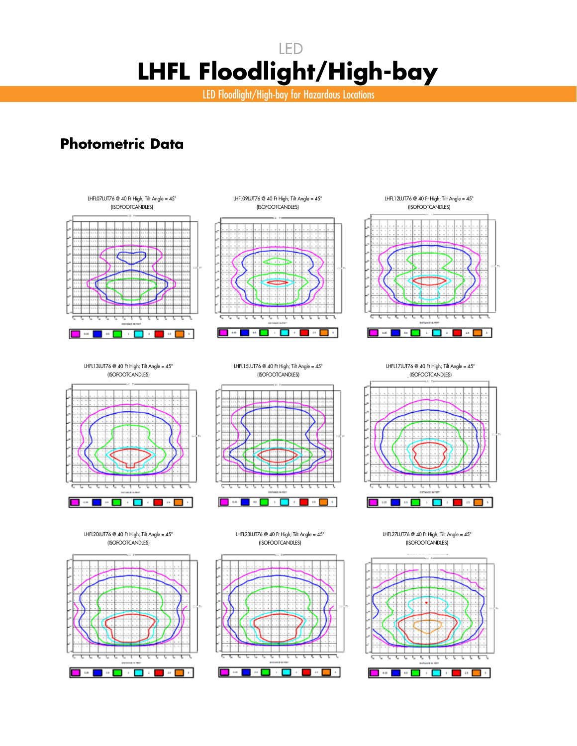LED Floodlight/High-bay for Hazardous Locations

### **Photometric Data**





LHFL09LUT76 @ 40 Ft High; Tilt Angle = 45°





LHFL13LUT76 @ 40 Ft High; Tilt Angle = 45° (ISOFOOTCANDLES)



LHFL20LUT76 @ 40 Ft High; Tilt Angle = 45° (ISOFOOTCANDLES)



LHFL15LUT76 @ 40 Ft High; Tilt Angle = 45° (ISOFOOTCANDLES)



LHFL17LUT76 @ 40 Ft High; Tilt Angle = 45° (ISOFOOTCANDLES)



LHFL27LUT76 @ 40 Ft High; Tilt Angle = 45° (ISOFOOTCANDLES)



LHFL23LUT76 @ 40 Ft High; Tilt Angle = 45° (ISOFOOTCANDLES)